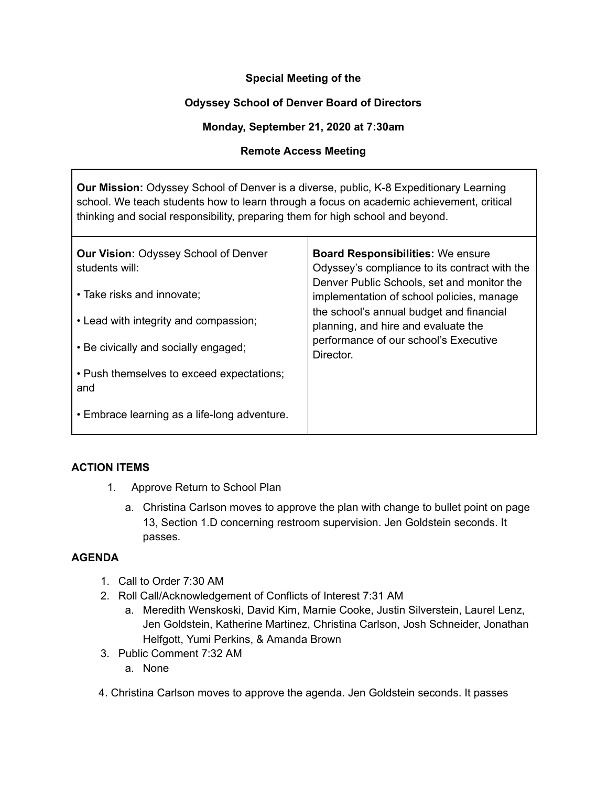# **Special Meeting of the**

# **Odyssey School of Denver Board of Directors**

#### **Monday, September 21, 2020 at 7:30am**

#### **Remote Access Meeting**

**Our Mission:** Odyssey School of Denver is a diverse, public, K-8 Expeditionary Learning school. We teach students how to learn through a focus on academic achievement, critical thinking and social responsibility, preparing them for high school and beyond.

| <b>Our Vision: Odyssey School of Denver</b><br>students will: | <b>Board Responsibilities: We ensure</b><br>Odyssey's compliance to its contract with the<br>Denver Public Schools, set and monitor the<br>implementation of school policies, manage<br>the school's annual budget and financial<br>planning, and hire and evaluate the<br>performance of our school's Executive<br>Director. |
|---------------------------------------------------------------|-------------------------------------------------------------------------------------------------------------------------------------------------------------------------------------------------------------------------------------------------------------------------------------------------------------------------------|
| • Take risks and innovate;                                    |                                                                                                                                                                                                                                                                                                                               |
| • Lead with integrity and compassion;                         |                                                                                                                                                                                                                                                                                                                               |
| • Be civically and socially engaged;                          |                                                                                                                                                                                                                                                                                                                               |
| • Push themselves to exceed expectations;<br>and              |                                                                                                                                                                                                                                                                                                                               |
| • Embrace learning as a life-long adventure.                  |                                                                                                                                                                                                                                                                                                                               |

### **ACTION ITEMS**

- 1. Approve Return to School Plan
	- a. Christina Carlson moves to approve the plan with change to bullet point on page 13, Section 1.D concerning restroom supervision. Jen Goldstein seconds. It passes.

# **AGENDA**

- 1. Call to Order 7:30 AM
- 2. Roll Call/Acknowledgement of Conflicts of Interest 7:31 AM
	- a. Meredith Wenskoski, David Kim, Marnie Cooke, Justin Silverstein, Laurel Lenz, Jen Goldstein, Katherine Martinez, Christina Carlson, Josh Schneider, Jonathan Helfgott, Yumi Perkins, & Amanda Brown
- 3. Public Comment 7:32 AM
	- a. None
- 4. Christina Carlson moves to approve the agenda. Jen Goldstein seconds. It passes